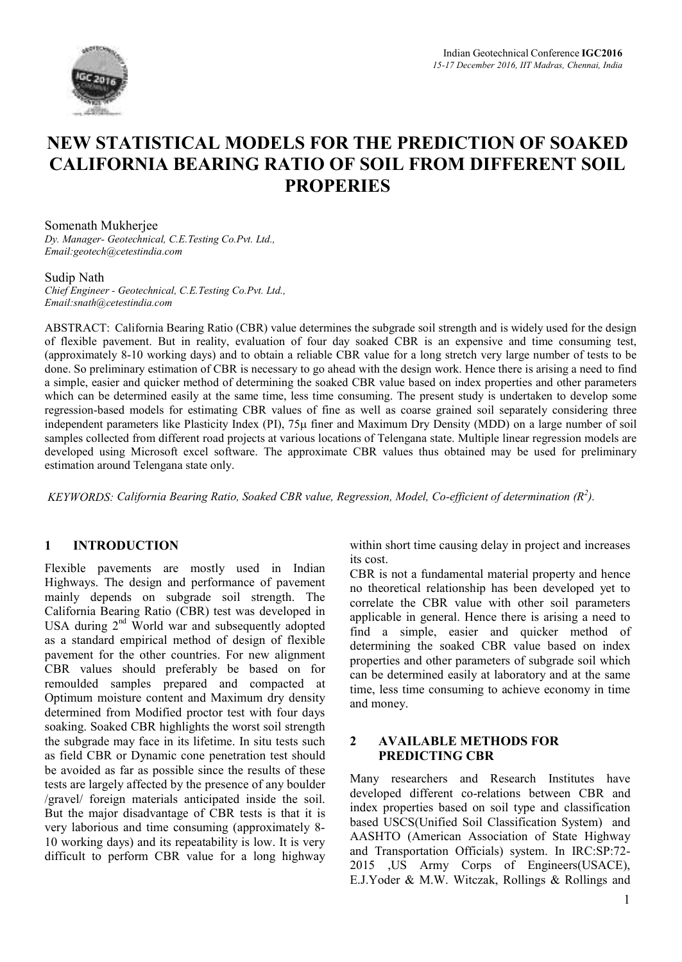

# NEW STATISTICAL MODELS FOR THE PREDICTION OF SOAKED CALIFORNIA BEARING RATIO OF SOIL FROM DIFFERENT SOIL **PROPERIES**

#### Somenath Mukherjee

Dy. Manager- Geotechnical, C.E.Testing Co.Pvt. Ltd., Email:geotech@cetestindia.com

#### Sudip Nath

Chief Engineer - Geotechnical, C.E.Testing Co.Pvt. Ltd., Email:snath@cetestindia.com

ABSTRACT: California Bearing Ratio (CBR) value determines the subgrade soil strength and is widely used for the design of flexible pavement. But in reality, evaluation of four day soaked CBR is an expensive and time consuming test, (approximately 8-10 working days) and to obtain a reliable CBR value for a long stretch very large number of tests to be done. So preliminary estimation of CBR is necessary to go ahead with the design work. Hence there is arising a need to find a simple, easier and quicker method of determining the soaked CBR value based on index properties and other parameters which can be determined easily at the same time, less time consuming. The present study is undertaken to develop some regression-based models for estimating CBR values of fine as well as coarse grained soil separately considering three independent parameters like Plasticity Index (PI), 75µ finer and Maximum Dry Density (MDD) on a large number of soil samples collected from different road projects at various locations of Telengana state. Multiple linear regression models are developed using Microsoft excel software. The approximate CBR values thus obtained may be used for preliminary estimation around Telengana state only.

KEYWORDS: California Bearing Ratio, Soaked CBR value, Regression, Model, Co-efficient of determination  $(R^2)$ .

## 1 INTRODUCTION

Flexible pavements are mostly used in Indian Highways. The design and performance of pavement mainly depends on subgrade soil strength. The California Bearing Ratio (CBR) test was developed in USA during  $2<sup>nd</sup>$  World war and subsequently adopted as a standard empirical method of design of flexible pavement for the other countries. For new alignment CBR values should preferably be based on for remoulded samples prepared and compacted at Optimum moisture content and Maximum dry density determined from Modified proctor test with four days soaking. Soaked CBR highlights the worst soil strength the subgrade may face in its lifetime. In situ tests such as field CBR or Dynamic cone penetration test should be avoided as far as possible since the results of these tests are largely affected by the presence of any boulder /gravel/ foreign materials anticipated inside the soil. But the major disadvantage of CBR tests is that it is very laborious and time consuming (approximately 8- 10 working days) and its repeatability is low. It is very difficult to perform CBR value for a long highway

within short time causing delay in project and increases its cost.

CBR is not a fundamental material property and hence no theoretical relationship has been developed yet to correlate the CBR value with other soil parameters applicable in general. Hence there is arising a need to find a simple, easier and quicker method of determining the soaked CBR value based on index properties and other parameters of subgrade soil which can be determined easily at laboratory and at the same time, less time consuming to achieve economy in time and money.

#### 2 AVAILABLE METHODS FOR PREDICTING CBR

Many researchers and Research Institutes have developed different co-relations between CBR and index properties based on soil type and classification based USCS(Unified Soil Classification System) and AASHTO (American Association of State Highway and Transportation Officials) system. In IRC:SP:72- 2015 ,US Army Corps of Engineers(USACE), E.J.Yoder & M.W. Witczak, Rollings & Rollings and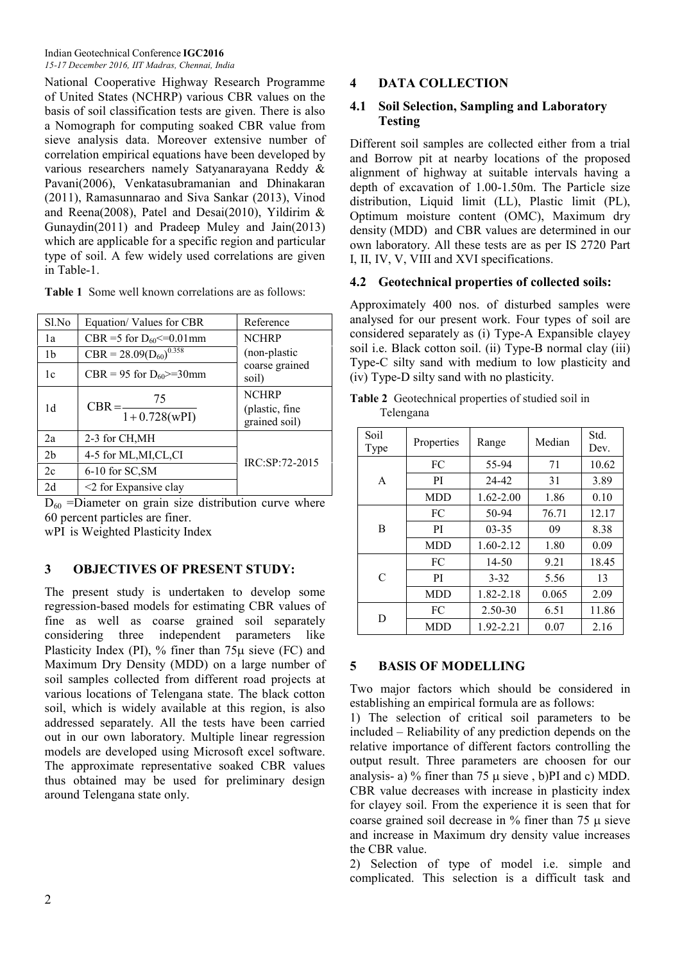National Cooperative Highway Research Programme of United States (NCHRP) various CBR values on the basis of soil classification tests are given. There is also a Nomograph for computing soaked CBR value from sieve analysis data. Moreover extensive number of correlation empirical equations have been developed by various researchers namely Satyanarayana Reddy & Pavani(2006), Venkatasubramanian and Dhinakaran (2011), Ramasunnarao and Siva Sankar (2013), Vinod and Reena(2008), Patel and Desai(2010), Yildirim & Gunaydin(2011) and Pradeep Muley and Jain(2013) which are applicable for a specific region and particular type of soil. A few widely used correlations are given in Table-1.

| <b>Table 1</b> Some well known correlations are as follows: |  |
|-------------------------------------------------------------|--|
|-------------------------------------------------------------|--|

| Sl.No          | Equation/Values for CBR             | Reference                                       |
|----------------|-------------------------------------|-------------------------------------------------|
| 1a             | CBR =5 for $D_{60} \le 0.01$ mm     | <b>NCHRP</b>                                    |
| 1b             | $CBR = 28.09(D_{60})^{0.358}$       | (non-plastic                                    |
| 1c             | $CBR = 95$ for $D_{60} \ge 30$ mm   | coarse grained<br>soil)                         |
| 1d             | 75<br>$CBR = -$<br>$1 + 0.728(wPI)$ | <b>NCHRP</b><br>(plastic, fine<br>grained soil) |
| 2a             | 2-3 for CH, MH                      |                                                 |
| 2 <sub>b</sub> | 4-5 for ML, MI, CL, CI              | IRC:SP:72-2015                                  |
| 2c             | 6-10 for SC, SM                     |                                                 |
| 2d             | $\leq$ 2 for Expansive clay         |                                                 |

 $D_{60}$  =Diameter on grain size distribution curve where 60 percent particles are finer.

wPI is Weighted Plasticity Index

# 3 OBJECTIVES OF PRESENT STUDY:

The present study is undertaken to develop some regression-based models for estimating CBR values of fine as well as coarse grained soil separately considering three independent parameters like Plasticity Index (PI), % finer than 75µ sieve (FC) and Maximum Dry Density (MDD) on a large number of soil samples collected from different road projects at various locations of Telengana state. The black cotton soil, which is widely available at this region, is also addressed separately. All the tests have been carried out in our own laboratory. Multiple linear regression models are developed using Microsoft excel software. The approximate representative soaked CBR values thus obtained may be used for preliminary design around Telengana state only.

# 4 DATA COLLECTION

## 4.1 Soil Selection, Sampling and Laboratory **Testing**

Different soil samples are collected either from a trial and Borrow pit at nearby locations of the proposed alignment of highway at suitable intervals having a depth of excavation of 1.00-1.50m. The Particle size distribution, Liquid limit (LL), Plastic limit (PL), Optimum moisture content (OMC), Maximum dry density (MDD) and CBR values are determined in our own laboratory. All these tests are as per IS 2720 Part I, II, IV, V, VIII and XVI specifications.

## 4.2 Geotechnical properties of collected soils:

Approximately 400 nos. of disturbed samples were analysed for our present work. Four types of soil are considered separately as (i) Type-A Expansible clayey soil i.e. Black cotton soil. (ii) Type-B normal clay (iii) Type-C silty sand with medium to low plasticity and (iv) Type-D silty sand with no plasticity.

| <b>Table 2</b> Geotechnical properties of studied soil in |
|-----------------------------------------------------------|
| Telengana                                                 |

| Soi1<br>Type | Properties | Range         | Median | Std.<br>Dev. |
|--------------|------------|---------------|--------|--------------|
| A            | FC         | 55-94         | 71     | 10.62        |
|              | PI         | 24-42         | 31     | 3.89         |
|              | <b>MDD</b> | $1.62 - 2.00$ | 1.86   | 0.10         |
| B            | FC         | 50-94         | 76.71  | 12.17        |
|              | PI         | $03 - 35$     | 09     | 8.38         |
|              | <b>MDD</b> | $1.60 - 2.12$ | 1.80   | 0.09         |
| C            | FC         | $14 - 50$     | 9.21   | 18.45        |
|              | PI         | $3 - 32$      | 5.56   | 13           |
|              | <b>MDD</b> | 1.82-2.18     | 0.065  | 2.09         |
| D            | FC         | 2.50-30       | 6.51   | 11.86        |
|              | <b>MDD</b> | 1.92-2.21     | 0.07   | 2.16         |

## 5 BASIS OF MODELLING

Two major factors which should be considered in establishing an empirical formula are as follows:

1) The selection of critical soil parameters to be included – Reliability of any prediction depends on the relative importance of different factors controlling the output result. Three parameters are choosen for our analysis- a) % finer than 75 µ sieve , b)PI and c) MDD. CBR value decreases with increase in plasticity index for clayey soil. From the experience it is seen that for coarse grained soil decrease in  $%$  finer than 75  $\mu$  sieve and increase in Maximum dry density value increases the CBR value.

2) Selection of type of model i.e. simple and complicated. This selection is a difficult task and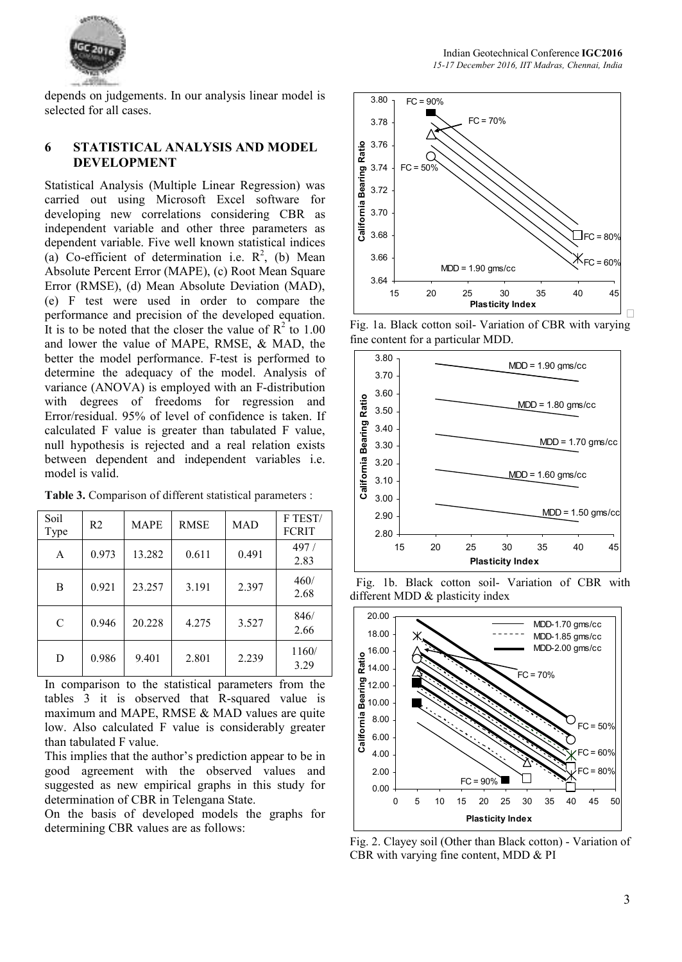

depends on judgements. In our analysis linear model is selected for all cases.

## 6 STATISTICAL ANALYSIS AND MODEL DEVELOPMENT

Statistical Analysis (Multiple Linear Regression) was carried out using Microsoft Excel software for developing new correlations considering CBR as independent variable and other three parameters as dependent variable. Five well known statistical indices (a) Co-efficient of determination i.e.  $\mathbb{R}^2$ , (b) Mean Absolute Percent Error (MAPE), (c) Root Mean Square Error (RMSE), (d) Mean Absolute Deviation (MAD), (e) F test were used in order to compare the performance and precision of the developed equation. It is to be noted that the closer the value of  $R^2$  to 1.00 and lower the value of MAPE, RMSE, & MAD, the better the model performance. F-test is performed to determine the adequacy of the model. Analysis of variance (ANOVA) is employed with an F-distribution with degrees of freedoms for regression and Error/residual. 95% of level of confidence is taken. If calculated F value is greater than tabulated F value, null hypothesis is rejected and a real relation exists between dependent and independent variables i.e. model is valid.

| Soil<br>Type | R <sub>2</sub> | <b>MAPE</b> | <b>RMSE</b> | <b>MAD</b> | F TEST/<br><b>FCRIT</b> |
|--------------|----------------|-------------|-------------|------------|-------------------------|
| A            | 0.973          | 13.282      | 0.611       | 0.491      | 497/<br>2.83            |
| B            | 0.921          | 23.257      | 3.191       | 2.397      | 460/<br>2.68            |
| C            | 0.946          | 20.228      | 4.275       | 3.527      | 846/<br>2.66            |
| D            | 0.986          | 9.401       | 2.801       | 2.239      | 1160/<br>3.29           |

Table 3. Comparison of different statistical parameters :

In comparison to the statistical parameters from the tables 3 it is observed that R-squared value is maximum and MAPE, RMSE & MAD values are quite low. Also calculated F value is considerably greater than tabulated F value.

This implies that the author's prediction appear to be in good agreement with the observed values and suggested as new empirical graphs in this study for determination of CBR in Telengana State.

On the basis of developed models the graphs for determining CBR values are as follows:



Fig. 1a. Black cotton soil- Variation of CBR with varying fine content for a particular MDD.



 Fig. 1b. Black cotton soil- Variation of CBR with different MDD & plasticity index



Fig. 2. Clayey soil (Other than Black cotton) - Variation of CBR with varying fine content, MDD & PI